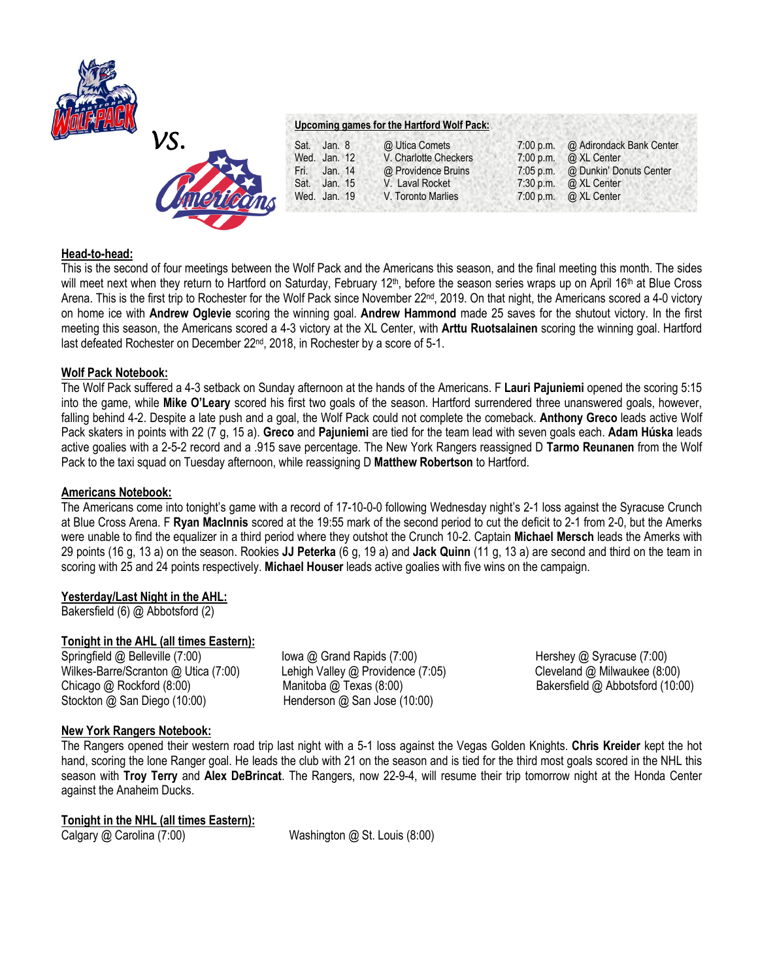



# **Upcoming games for the Hartford Wolf Pack:**

| Sat.         | Jan. 8  | @ Utica Comets        | $7:00$ p.m. | @ Adirondack Bank Center     |
|--------------|---------|-----------------------|-------------|------------------------------|
| Wed. Jan. 12 |         | V. Charlotte Checkers | 7:00 p.m.   | @ XL Center                  |
| Fri.         | Jan. 14 | @ Providence Bruins   | $7:05$ p.m. | @ Dunkin' Donuts Center      |
| Sat. Jan. 15 |         | V. Laval Rocket       | $7:30$ p.m. | @ XL Center                  |
| Wed. Jan. 19 |         | V. Toronto Marlies    |             | 7:00 p.m. $\omega$ XL Center |
|              |         |                       |             |                              |

## **Head-to-head:**

This is the second of four meetings between the Wolf Pack and the Americans this season, and the final meeting this month. The sides will meet next when they return to Hartford on Saturday, February 12<sup>th</sup>, before the season series wraps up on April 16<sup>th</sup> at Blue Cross Arena. This is the first trip to Rochester for the Wolf Pack since November 22<sup>nd</sup>, 2019. On that night, the Americans scored a 4-0 victory on home ice with **Andrew Oglevie** scoring the winning goal. **Andrew Hammond** made 25 saves for the shutout victory. In the first meeting this season, the Americans scored a 4-3 victory at the XL Center, with **Arttu Ruotsalainen** scoring the winning goal. Hartford last defeated Rochester on December 22<sup>nd</sup>, 2018, in Rochester by a score of 5-1.

## **Wolf Pack Notebook:**

The Wolf Pack suffered a 4-3 setback on Sunday afternoon at the hands of the Americans. F **Lauri Pajuniemi** opened the scoring 5:15 into the game, while **Mike O'Leary** scored his first two goals of the season. Hartford surrendered three unanswered goals, however, falling behind 4-2. Despite a late push and a goal, the Wolf Pack could not complete the comeback. **Anthony Greco** leads active Wolf Pack skaters in points with 22 (7 g, 15 a). **Greco** and **Pajuniemi** are tied for the team lead with seven goals each. **Adam Húska** leads active goalies with a 2-5-2 record and a .915 save percentage. The New York Rangers reassigned D **Tarmo Reunanen** from the Wolf Pack to the taxi squad on Tuesday afternoon, while reassigning D **Matthew Robertson** to Hartford.

### **Americans Notebook:**

The Americans come into tonight's game with a record of 17-10-0-0 following Wednesday night's 2-1 loss against the Syracuse Crunch at Blue Cross Arena. F **Ryan MacInnis** scored at the 19:55 mark of the second period to cut the deficit to 2-1 from 2-0, but the Amerks were unable to find the equalizer in a third period where they outshot the Crunch 10-2. Captain **Michael Mersch** leads the Amerks with 29 points (16 g, 13 a) on the season. Rookies **JJ Peterka** (6 g, 19 a) and **Jack Quinn** (11 g, 13 a) are second and third on the team in scoring with 25 and 24 points respectively. **Michael Houser** leads active goalies with five wins on the campaign.

### **Yesterday/Last Night in the AHL:**

Bakersfield (6) @ Abbotsford (2)

### **Tonight in the AHL (all times Eastern):**

Springfield @ Belleville (7:00) Iowa @ Grand Rapids (7:00) Inc. Intershey @ Syracuse (7:00) Wilkes-Barre/Scranton @ Utica (7:00) Lehigh Valley @ Providence (7:05) Cleveland @ Milwaukee (8:00) Chicago @ Rockford (8:00) Manitoba @ Texas (8:00) Bakersfield @ Abbotsford (10:00) Stockton @ San Diego (10:00) Henderson @ San Jose (10:00)

## **New York Rangers Notebook:**

The Rangers opened their western road trip last night with a 5-1 loss against the Vegas Golden Knights. **Chris Kreider** kept the hot hand, scoring the lone Ranger goal. He leads the club with 21 on the season and is tied for the third most goals scored in the NHL this season with **Troy Terry** and **Alex DeBrincat**. The Rangers, now 22-9-4, will resume their trip tomorrow night at the Honda Center against the Anaheim Ducks.

# **Tonight in the NHL (all times Eastern):**

Calgary @ Carolina (7:00) Washington @ St. Louis (8:00)